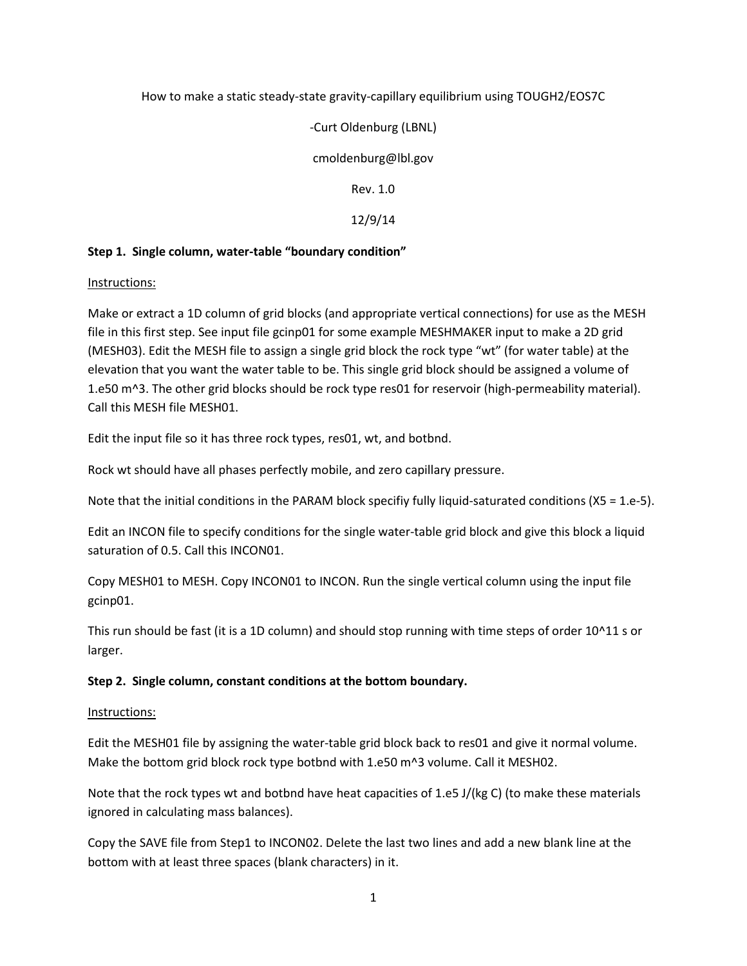### How to make a static steady-state gravity-capillary equilibrium using TOUGH2/EOS7C

# -Curt Oldenburg (LBNL)

cmoldenburg@lbl.gov

Rev. 1.0

12/9/14

### **Step 1. Single column, water-table "boundary condition"**

### Instructions:

Make or extract a 1D column of grid blocks (and appropriate vertical connections) for use as the MESH file in this first step. See input file gcinp01 for some example MESHMAKER input to make a 2D grid (MESH03). Edit the MESH file to assign a single grid block the rock type "wt" (for water table) at the elevation that you want the water table to be. This single grid block should be assigned a volume of 1.e50 m^3. The other grid blocks should be rock type res01 for reservoir (high-permeability material). Call this MESH file MESH01.

Edit the input file so it has three rock types, res01, wt, and botbnd.

Rock wt should have all phases perfectly mobile, and zero capillary pressure.

Note that the initial conditions in the PARAM block specifiy fully liquid-saturated conditions (X5 = 1.e-5).

Edit an INCON file to specify conditions for the single water-table grid block and give this block a liquid saturation of 0.5. Call this INCON01.

Copy MESH01 to MESH. Copy INCON01 to INCON. Run the single vertical column using the input file gcinp01.

This run should be fast (it is a 1D column) and should stop running with time steps of order 10^11 s or larger.

### **Step 2. Single column, constant conditions at the bottom boundary.**

### Instructions:

Edit the MESH01 file by assigning the water-table grid block back to res01 and give it normal volume. Make the bottom grid block rock type botbnd with 1.e50 m^3 volume. Call it MESH02.

Note that the rock types wt and botbnd have heat capacities of 1.e5 J/(kg C) (to make these materials ignored in calculating mass balances).

Copy the SAVE file from Step1 to INCON02. Delete the last two lines and add a new blank line at the bottom with at least three spaces (blank characters) in it.